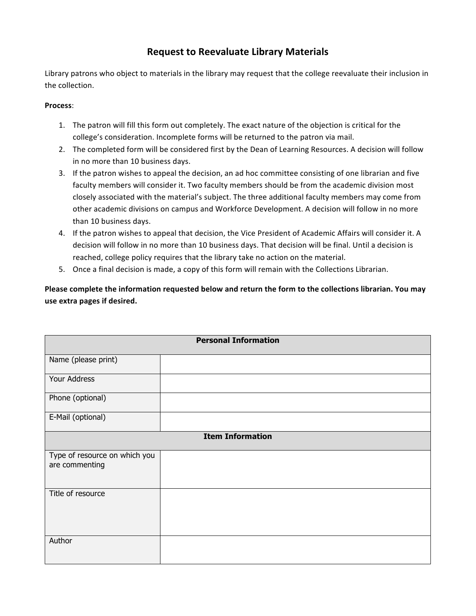## **Request to Reevaluate Library Materials**

Library patrons who object to materials in the library may request that the college reevaluate their inclusion in the collection.

## **Process**:

- 1. The patron will fill this form out completely. The exact nature of the objection is critical for the college's consideration. Incomplete forms will be returned to the patron via mail.
- 2. The completed form will be considered first by the Dean of Learning Resources. A decision will follow in no more than 10 business days.
- 3. If the patron wishes to appeal the decision, an ad hoc committee consisting of one librarian and five faculty members will consider it. Two faculty members should be from the academic division most closely associated with the material's subject. The three additional faculty members may come from other academic divisions on campus and Workforce Development. A decision will follow in no more than 10 business days.
- 4. If the patron wishes to appeal that decision, the Vice President of Academic Affairs will consider it. A decision will follow in no more than 10 business days. That decision will be final. Until a decision is reached, college policy requires that the library take no action on the material.
- 5. Once a final decision is made, a copy of this form will remain with the Collections Librarian.

 **Please complete the information requested below and return the form to the collections librarian. You may use extra pages if desired.**

| <b>Personal Information</b>                     |  |  |
|-------------------------------------------------|--|--|
| Name (please print)                             |  |  |
| Your Address                                    |  |  |
| Phone (optional)                                |  |  |
| E-Mail (optional)                               |  |  |
| <b>Item Information</b>                         |  |  |
| Type of resource on which you<br>are commenting |  |  |
| Title of resource                               |  |  |
| Author                                          |  |  |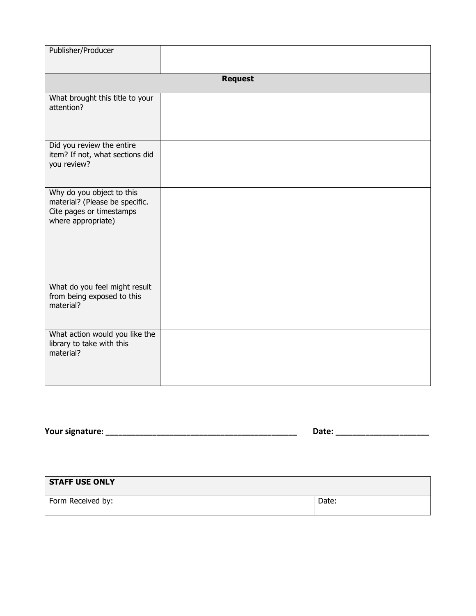| Publisher/Producer                                                                                            |  |  |
|---------------------------------------------------------------------------------------------------------------|--|--|
| <b>Request</b>                                                                                                |  |  |
| What brought this title to your<br>attention?                                                                 |  |  |
| Did you review the entire<br>item? If not, what sections did<br>you review?                                   |  |  |
| Why do you object to this<br>material? (Please be specific.<br>Cite pages or timestamps<br>where appropriate) |  |  |
| What do you feel might result<br>from being exposed to this<br>material?                                      |  |  |
| What action would you like the<br>library to take with this<br>material?                                      |  |  |

**Your signature: \_\_\_\_\_\_\_\_\_\_\_\_\_\_\_\_\_\_\_\_\_\_\_\_\_\_\_\_\_\_\_\_\_\_\_\_\_\_\_\_\_\_\_\_\_ Date: \_\_\_\_\_\_\_\_\_\_\_\_\_\_\_\_\_\_\_\_\_\_**

| <b>STAFF USE ONLY</b> |       |
|-----------------------|-------|
| Form Received by:     | Date: |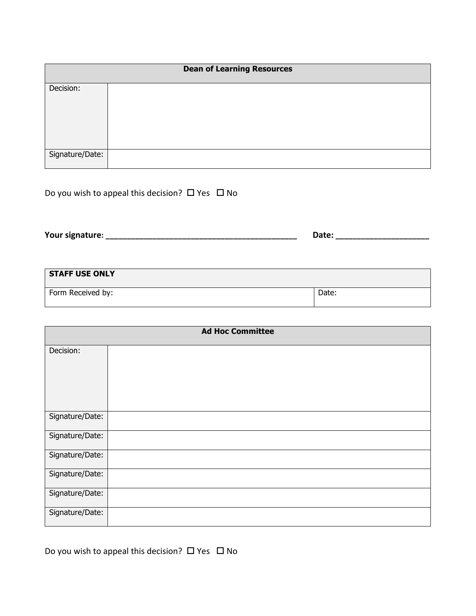| <b>Dean of Learning Resources</b> |  |
|-----------------------------------|--|
| Decision:                         |  |
|                                   |  |
| Signature/Date:                   |  |

Do you wish to appeal this decision?  $\Box$  Yes  $\Box$  No

 **Your signature: \_\_\_\_\_\_\_\_\_\_\_\_\_\_\_\_\_\_\_\_\_\_\_\_\_\_\_\_\_\_\_\_\_\_\_\_\_\_\_\_\_\_\_\_\_ Date: \_\_\_\_\_\_\_\_\_\_\_\_\_\_\_\_\_\_\_\_\_\_**

| <b>STAFF USE ONLY</b> |       |
|-----------------------|-------|
| Form Received by:     | Date: |

| <b>Ad Hoc Committee</b> |  |
|-------------------------|--|
| Decision:               |  |
| Signature/Date:         |  |
| Signature/Date:         |  |
| Signature/Date:         |  |
| Signature/Date:         |  |
| Signature/Date:         |  |
| Signature/Date:         |  |

Do you wish to appeal this decision?  $\Box$  Yes  $\Box$  No